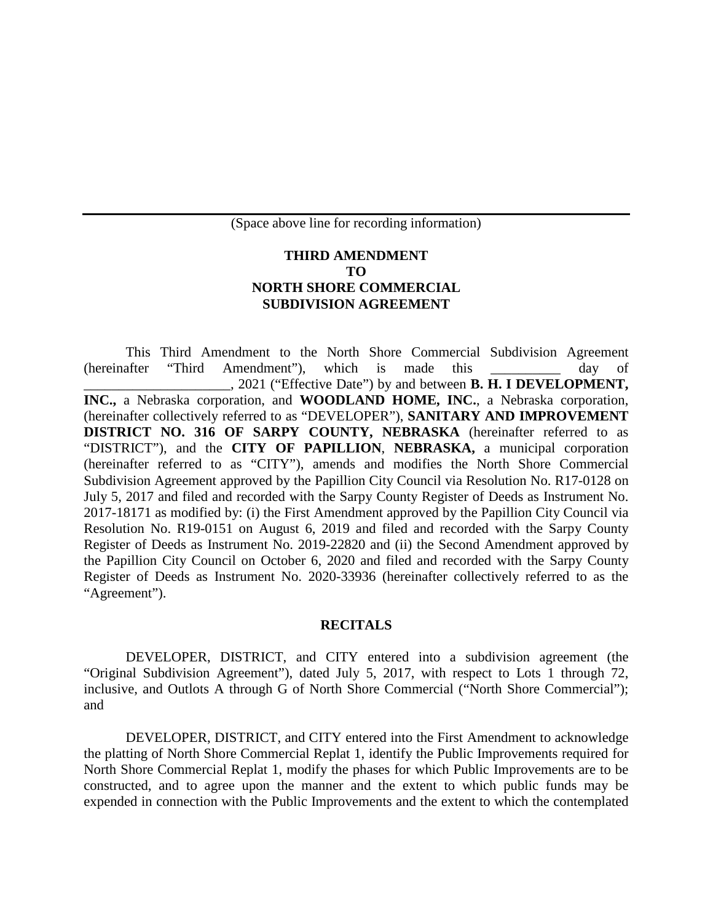(Space above line for recording information)

## **THIRD AMENDMENT TO NORTH SHORE COMMERCIAL SUBDIVISION AGREEMENT**

This Third Amendment to the North Shore Commercial Subdivision Agreement (hereinafter "Third Amendment"), which is made this \_\_\_\_\_\_\_\_\_\_ day of \_\_\_\_\_\_\_\_\_\_\_\_\_\_\_\_\_\_\_\_\_, 2021 ("Effective Date") by and between **B. H. I DEVELOPMENT, INC.,** a Nebraska corporation, and **WOODLAND HOME, INC.**, a Nebraska corporation, (hereinafter collectively referred to as "DEVELOPER"), **SANITARY AND IMPROVEMENT DISTRICT NO. 316 OF SARPY COUNTY, NEBRASKA** (hereinafter referred to as "DISTRICT"), and the **CITY OF PAPILLION**, **NEBRASKA,** a municipal corporation (hereinafter referred to as "CITY"), amends and modifies the North Shore Commercial Subdivision Agreement approved by the Papillion City Council via Resolution No. R17-0128 on July 5, 2017 and filed and recorded with the Sarpy County Register of Deeds as Instrument No. 2017-18171 as modified by: (i) the First Amendment approved by the Papillion City Council via Resolution No. R19-0151 on August 6, 2019 and filed and recorded with the Sarpy County Register of Deeds as Instrument No. 2019-22820 and (ii) the Second Amendment approved by the Papillion City Council on October 6, 2020 and filed and recorded with the Sarpy County Register of Deeds as Instrument No. 2020-33936 (hereinafter collectively referred to as the "Agreement").

## **RECITALS**

DEVELOPER, DISTRICT, and CITY entered into a subdivision agreement (the "Original Subdivision Agreement"), dated July 5, 2017, with respect to Lots 1 through 72, inclusive, and Outlots A through G of North Shore Commercial ("North Shore Commercial"); and

DEVELOPER, DISTRICT, and CITY entered into the First Amendment to acknowledge the platting of North Shore Commercial Replat 1, identify the Public Improvements required for North Shore Commercial Replat 1, modify the phases for which Public Improvements are to be constructed, and to agree upon the manner and the extent to which public funds may be expended in connection with the Public Improvements and the extent to which the contemplated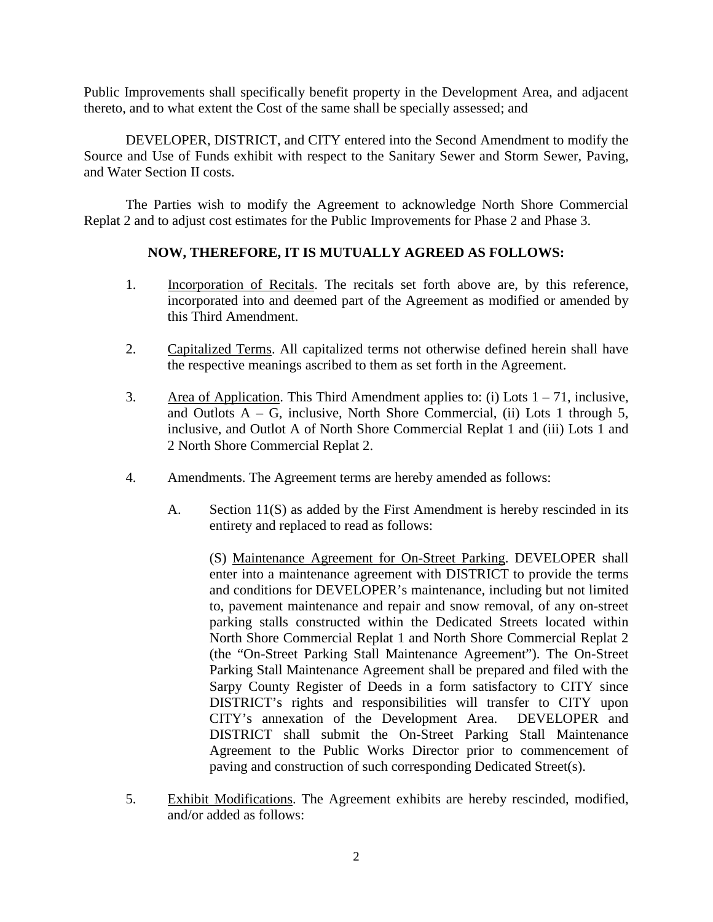Public Improvements shall specifically benefit property in the Development Area, and adjacent thereto, and to what extent the Cost of the same shall be specially assessed; and

DEVELOPER, DISTRICT, and CITY entered into the Second Amendment to modify the Source and Use of Funds exhibit with respect to the Sanitary Sewer and Storm Sewer, Paving, and Water Section II costs.

The Parties wish to modify the Agreement to acknowledge North Shore Commercial Replat 2 and to adjust cost estimates for the Public Improvements for Phase 2 and Phase 3.

## **NOW, THEREFORE, IT IS MUTUALLY AGREED AS FOLLOWS:**

- 1. Incorporation of Recitals. The recitals set forth above are, by this reference, incorporated into and deemed part of the Agreement as modified or amended by this Third Amendment.
- 2. Capitalized Terms. All capitalized terms not otherwise defined herein shall have the respective meanings ascribed to them as set forth in the Agreement.
- 3. Area of Application. This Third Amendment applies to: (i) Lots  $1 71$ , inclusive, and Outlots  $A - G$ , inclusive, North Shore Commercial, (ii) Lots 1 through 5, inclusive, and Outlot A of North Shore Commercial Replat 1 and (iii) Lots 1 and 2 North Shore Commercial Replat 2.
- 4. Amendments. The Agreement terms are hereby amended as follows:
	- A. Section 11(S) as added by the First Amendment is hereby rescinded in its entirety and replaced to read as follows:

(S) Maintenance Agreement for On-Street Parking. DEVELOPER shall enter into a maintenance agreement with DISTRICT to provide the terms and conditions for DEVELOPER's maintenance, including but not limited to, pavement maintenance and repair and snow removal, of any on-street parking stalls constructed within the Dedicated Streets located within North Shore Commercial Replat 1 and North Shore Commercial Replat 2 (the "On-Street Parking Stall Maintenance Agreement"). The On-Street Parking Stall Maintenance Agreement shall be prepared and filed with the Sarpy County Register of Deeds in a form satisfactory to CITY since DISTRICT's rights and responsibilities will transfer to CITY upon CITY's annexation of the Development Area. DEVELOPER and DISTRICT shall submit the On-Street Parking Stall Maintenance Agreement to the Public Works Director prior to commencement of paving and construction of such corresponding Dedicated Street(s).

5. Exhibit Modifications. The Agreement exhibits are hereby rescinded, modified, and/or added as follows: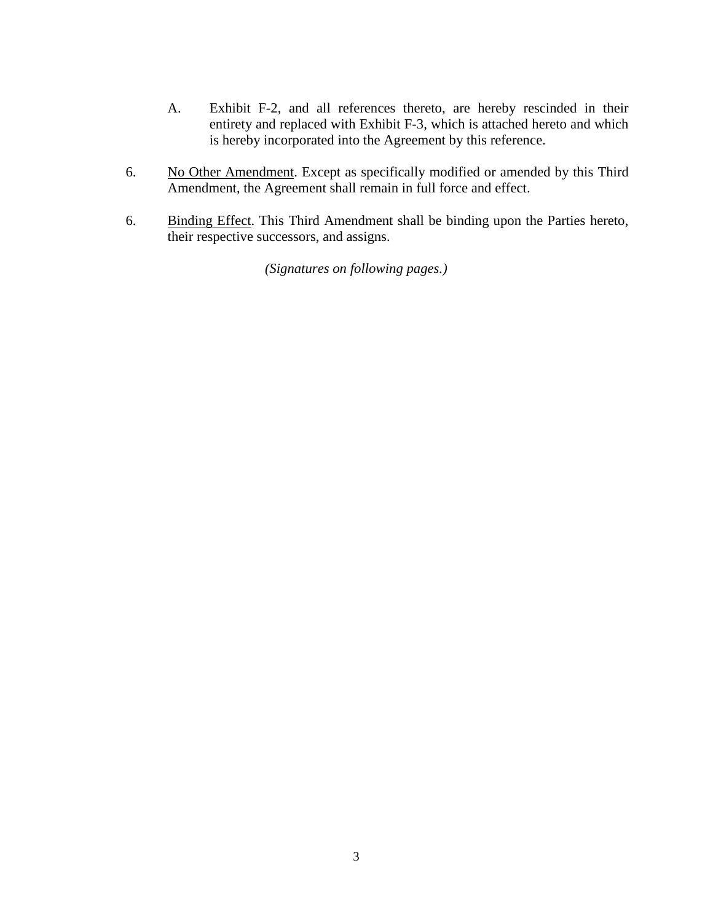- A. Exhibit F-2, and all references thereto, are hereby rescinded in their entirety and replaced with Exhibit F-3, which is attached hereto and which is hereby incorporated into the Agreement by this reference.
- 6. No Other Amendment. Except as specifically modified or amended by this Third Amendment, the Agreement shall remain in full force and effect.
- 6. Binding Effect. This Third Amendment shall be binding upon the Parties hereto, their respective successors, and assigns.

*(Signatures on following pages.)*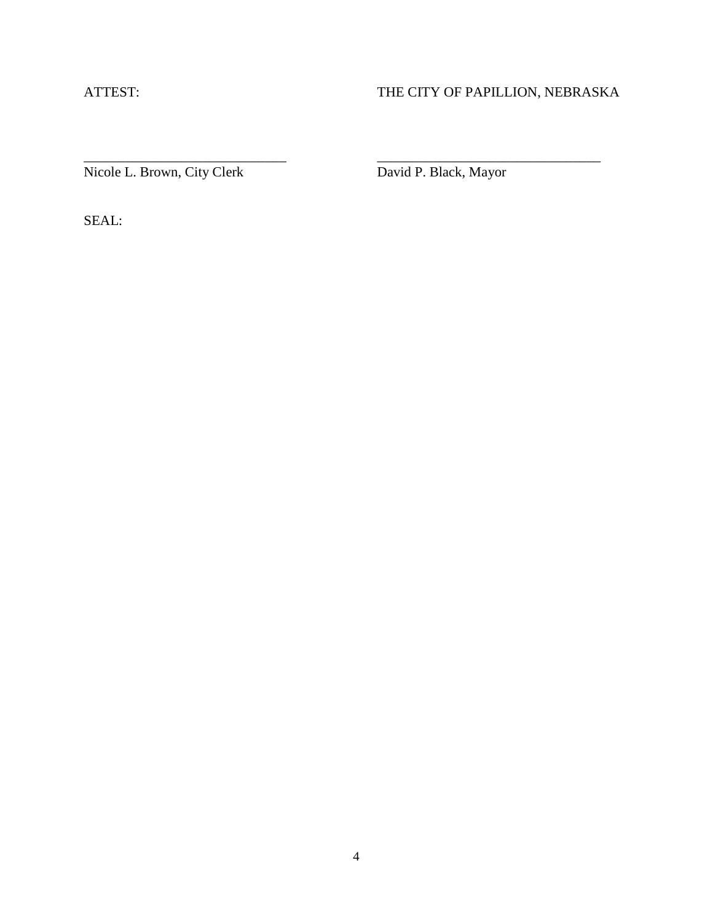## ATTEST: THE CITY OF PAPILLION, NEBRASKA

Nicole L. Brown, City Clerk David P. Black, Mayor

\_\_\_\_\_\_\_\_\_\_\_\_\_\_\_\_\_\_\_\_\_\_\_\_\_\_\_\_\_ \_\_\_\_\_\_\_\_\_\_\_\_\_\_\_\_\_\_\_\_\_\_\_\_\_\_\_\_\_\_\_\_

SEAL: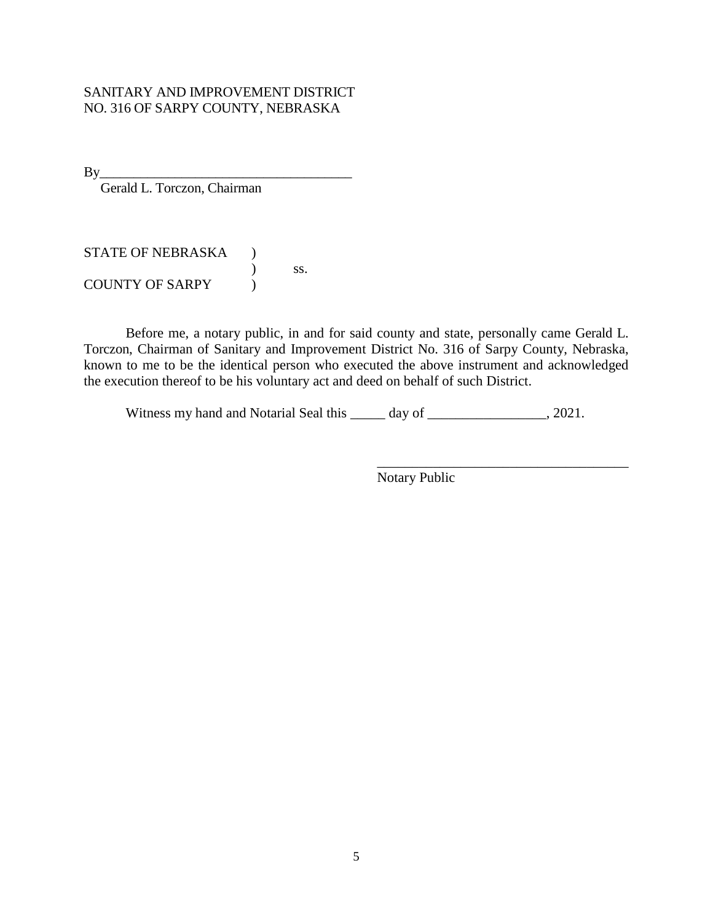## SANITARY AND IMPROVEMENT DISTRICT NO. 316 OF SARPY COUNTY, NEBRASKA

By\_\_\_\_\_\_\_\_\_\_\_\_\_\_\_\_\_\_\_\_\_\_\_\_\_\_\_\_\_\_\_\_\_\_\_\_\_

Gerald L. Torczon, Chairman

STATE OF NEBRASKA ) ) ss. COUNTY OF SARPY  $\qquad$ )

Before me, a notary public, in and for said county and state, personally came Gerald L. Torczon, Chairman of Sanitary and Improvement District No. 316 of Sarpy County, Nebraska, known to me to be the identical person who executed the above instrument and acknowledged the execution thereof to be his voluntary act and deed on behalf of such District.

Witness my hand and Notarial Seal this \_\_\_\_\_ day of \_\_\_\_\_\_\_\_\_\_\_\_\_\_, 2021.

Notary Public

\_\_\_\_\_\_\_\_\_\_\_\_\_\_\_\_\_\_\_\_\_\_\_\_\_\_\_\_\_\_\_\_\_\_\_\_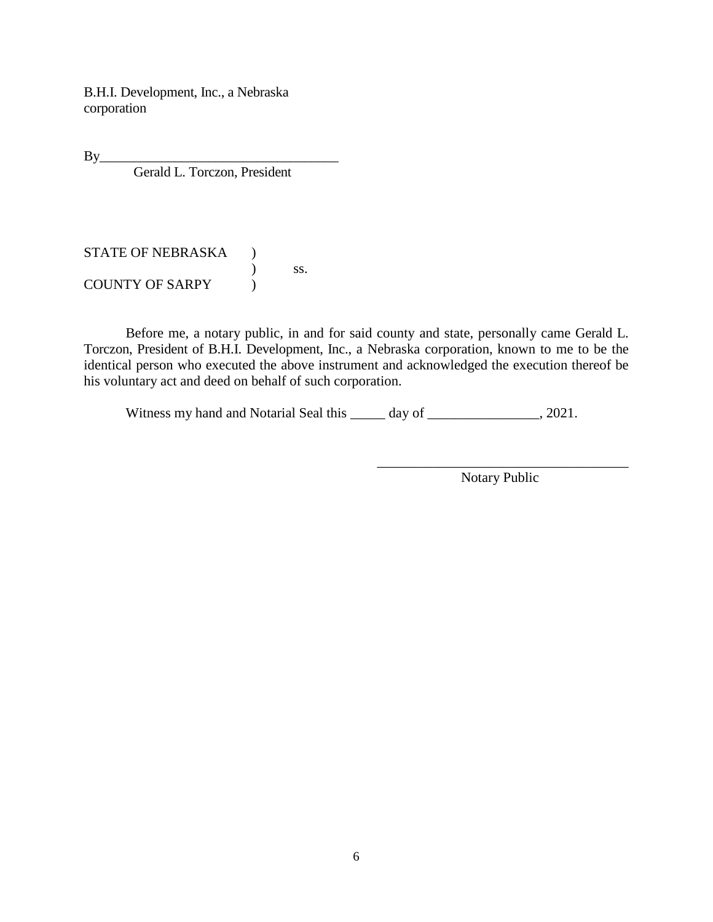B.H.I. Development, Inc., a Nebraska corporation

By\_\_\_\_\_\_\_\_\_\_\_\_\_\_\_\_\_\_\_\_\_\_\_\_\_\_\_\_\_\_\_\_\_\_\_

Gerald L. Torczon, President

STATE OF NEBRASKA ) ) ss. COUNTY OF SARPY (1)

Before me, a notary public, in and for said county and state, personally came Gerald L. Torczon, President of B.H.I. Development, Inc., a Nebraska corporation, known to me to be the identical person who executed the above instrument and acknowledged the execution thereof be his voluntary act and deed on behalf of such corporation.

Witness my hand and Notarial Seal this \_\_\_\_\_ day of \_\_\_\_\_\_\_\_\_\_\_\_\_, 2021.

\_\_\_\_\_\_\_\_\_\_\_\_\_\_\_\_\_\_\_\_\_\_\_\_\_\_\_\_\_\_\_\_\_\_\_\_ Notary Public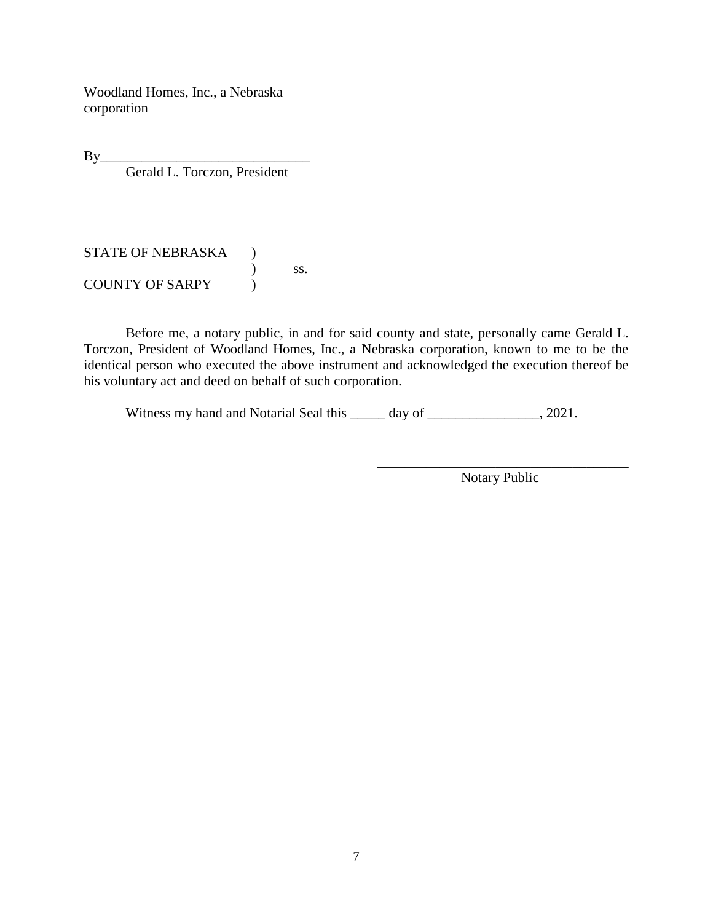Woodland Homes, Inc., a Nebraska corporation

By\_\_\_\_\_\_\_\_\_\_\_\_\_\_\_\_\_\_\_\_\_\_\_\_\_\_\_\_\_\_

Gerald L. Torczon, President

STATE OF NEBRASKA ) ) ss. COUNTY OF SARPY (1)

Before me, a notary public, in and for said county and state, personally came Gerald L. Torczon, President of Woodland Homes, Inc., a Nebraska corporation, known to me to be the identical person who executed the above instrument and acknowledged the execution thereof be his voluntary act and deed on behalf of such corporation.

Witness my hand and Notarial Seal this \_\_\_\_\_ day of \_\_\_\_\_\_\_\_\_\_\_\_\_, 2021.

\_\_\_\_\_\_\_\_\_\_\_\_\_\_\_\_\_\_\_\_\_\_\_\_\_\_\_\_\_\_\_\_\_\_\_\_ Notary Public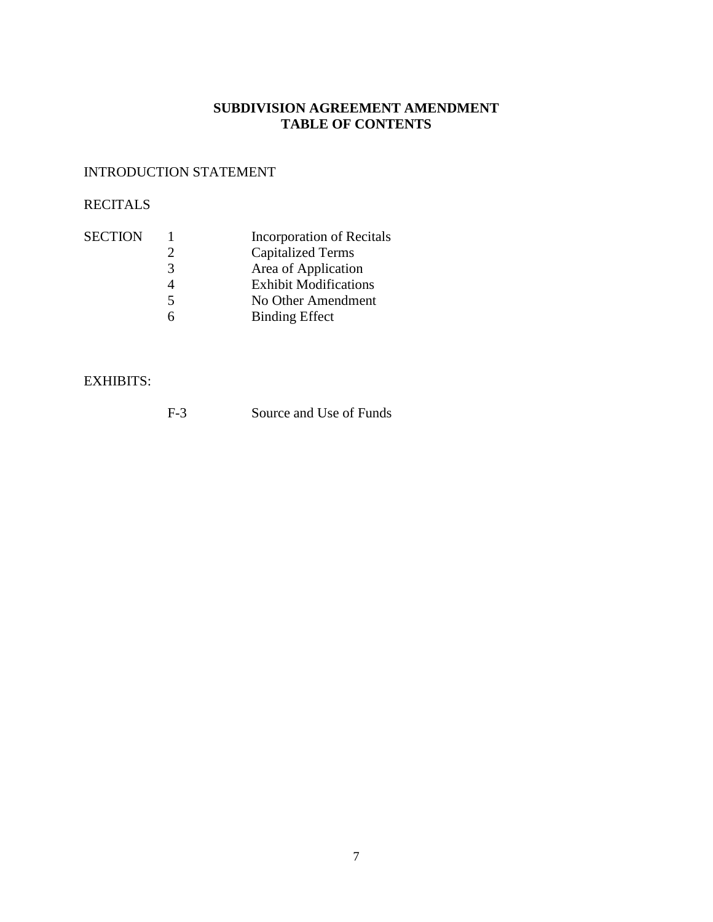## **SUBDIVISION AGREEMENT AMENDMENT TABLE OF CONTENTS**

## INTRODUCTION STATEMENT

## RECITALS

| <b>SECTION</b> |    | Incorporation of Recitals    |
|----------------|----|------------------------------|
|                |    | <b>Capitalized Terms</b>     |
|                | 3  | Area of Application          |
|                |    | <b>Exhibit Modifications</b> |
|                | 5. | No Other Amendment           |
|                |    | <b>Binding Effect</b>        |

## EXHIBITS: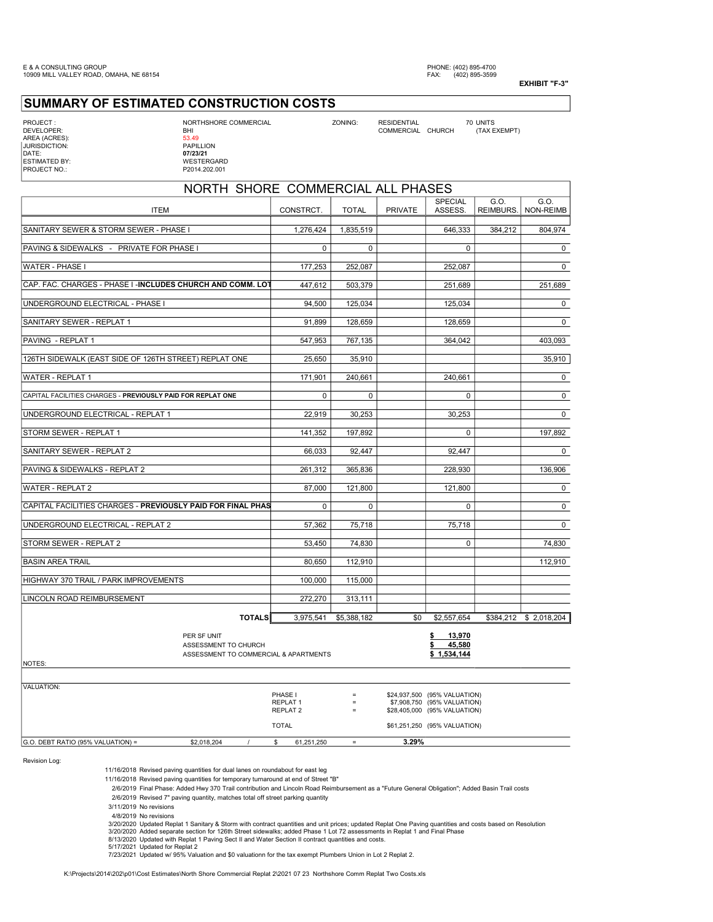## SUMMARY OF ESTIMATED CONSTRUCTION COSTS

AREA (ACRES): JURISDICTION:<br>DATE:

PROJECT : NORTHSHORE COMMERCIAL ZONING: RESIDENTIAL 70 UNITS

NUMERCIAL OURINING COMMERCIAL CHURCH (COMMERCIAL CHURCH (TAX EXEMPT)<br>53.49<br>PAPILLION DATE: 07/23/21 ESTIMATED BY: WESTERGARD PROJECT NO.: P2014.202.001

| NORTH SHORE COMMERCIAL ALL PHASES                                                      |                                            |              |                |                                                                                             |                   |                        |  |  |  |
|----------------------------------------------------------------------------------------|--------------------------------------------|--------------|----------------|---------------------------------------------------------------------------------------------|-------------------|------------------------|--|--|--|
| <b>ITEM</b>                                                                            | CONSTRCT.                                  | <b>TOTAL</b> | <b>PRIVATE</b> | <b>SPECIAL</b><br>ASSESS.                                                                   | G.O.<br>REIMBURS. | G.O.<br>NON-REIMB      |  |  |  |
| SANITARY SEWER & STORM SEWER - PHASE I                                                 | 1,276,424                                  | 1,835,519    |                | 646,333                                                                                     | 384,212           | 804.974                |  |  |  |
| PAVING & SIDEWALKS - PRIVATE FOR PHASE I                                               | 0                                          | 0            |                | $\mathbf 0$                                                                                 |                   | $\mathsf 0$            |  |  |  |
| WATER - PHASE I                                                                        | 177,253                                    | 252,087      |                | 252,087                                                                                     |                   | 0                      |  |  |  |
| CAP. FAC. CHARGES - PHASE I -INCLUDES CHURCH AND COMM. LOT                             | 447,612                                    | 503,379      |                | 251,689                                                                                     |                   | 251,689                |  |  |  |
| UNDERGROUND ELECTRICAL - PHASE I                                                       | 94,500                                     | 125,034      |                | 125,034                                                                                     |                   | 0                      |  |  |  |
| SANITARY SEWER - REPLAT 1                                                              | 91,899                                     | 128,659      |                | 128,659                                                                                     |                   | $\mathbf 0$            |  |  |  |
| PAVING - REPLAT 1                                                                      | 547.953                                    | 767.135      |                | 364.042                                                                                     |                   | 403.093                |  |  |  |
| 126TH SIDEWALK (EAST SIDE OF 126TH STREET) REPLAT ONE                                  | 25,650                                     | 35,910       |                |                                                                                             |                   | 35,910                 |  |  |  |
| <b>WATER - REPLAT 1</b>                                                                | 171,901                                    | 240,661      |                | 240,661                                                                                     |                   | $\mathbf 0$            |  |  |  |
| CAPITAL FACILITIES CHARGES - PREVIOUSLY PAID FOR REPLAT ONE                            | $\mathbf 0$                                | 0            |                | $\mathbf 0$                                                                                 |                   | $\mathsf{O}$           |  |  |  |
| UNDERGROUND ELECTRICAL - REPLAT 1                                                      | 22,919                                     | 30,253       |                | 30,253                                                                                      |                   | $\mathbf 0$            |  |  |  |
| STORM SEWER - REPLAT 1                                                                 | 141,352                                    | 197,892      |                | 0                                                                                           |                   | 197,892                |  |  |  |
| SANITARY SEWER - REPLAT 2                                                              | 66,033                                     | 92.447       |                | 92.447                                                                                      |                   | $\mathbf 0$            |  |  |  |
| PAVING & SIDEWALKS - REPLAT 2                                                          | 261,312                                    | 365,836      |                | 228,930                                                                                     |                   | 136,906                |  |  |  |
| WATER - REPLAT 2                                                                       | 87,000                                     | 121,800      |                | 121,800                                                                                     |                   | 0                      |  |  |  |
| CAPITAL FACILITIES CHARGES - PREVIOUSLY PAID FOR FINAL PHAS                            | 0                                          | 0            |                | 0                                                                                           |                   | 0                      |  |  |  |
| UNDERGROUND ELECTRICAL - REPLAT 2                                                      | 57,362                                     | 75,718       |                | 75,718                                                                                      |                   | $\Omega$               |  |  |  |
| STORM SEWER - REPLAT 2                                                                 | 53.450                                     | 74.830       |                | $\Omega$                                                                                    |                   | 74.830                 |  |  |  |
| <b>BASIN AREA TRAIL</b>                                                                | 80,650                                     | 112,910      |                |                                                                                             |                   | 112,910                |  |  |  |
| HIGHWAY 370 TRAIL / PARK IMPROVEMENTS                                                  | 100,000                                    | 115,000      |                |                                                                                             |                   |                        |  |  |  |
| LINCOLN ROAD REIMBURSEMENT                                                             | 272,270                                    | 313,111      |                |                                                                                             |                   |                        |  |  |  |
| <b>TOTALS</b>                                                                          | 3,975,541                                  | \$5,388,182  | \$0            | \$2,557,654                                                                                 |                   | \$384,212 \$ 2,018,204 |  |  |  |
| PER SF UNIT<br>ASSESSMENT TO CHURCH<br>ASSESSMENT TO COMMERCIAL & APARTMENTS<br>NOTES: |                                            |              |                | 13,970<br>\$<br>45,580<br>\$<br>\$1,534,144                                                 |                   |                        |  |  |  |
| VALUATION:                                                                             |                                            |              |                |                                                                                             |                   |                        |  |  |  |
|                                                                                        | PHASE I<br>REPLAT 1<br>REPLAT <sub>2</sub> | $\equiv$     |                | \$24,937,500 (95% VALUATION)<br>\$7,908,750 (95% VALUATION)<br>\$28,405,000 (95% VALUATION) |                   |                        |  |  |  |
|                                                                                        | <b>TOTAL</b>                               |              |                | \$61,251,250 (95% VALUATION)                                                                |                   |                        |  |  |  |

G.O. DEBT RATIO (95% VALUATION) =  $$2,018,204$  /  $$61,251,250$  =  $$3.29\%$ 

Revision Log:

11/16/2018 Revised paving quantities for dual lanes on roundabout for east leg

11/16/2018 Revised paving quantities for temporary turnaround at end of Street "B"

2/6/2019 Final Phase: Added Hwy 370 Trail contribution and Lincoln Road Reimbursement as a "Future General Obligation"; Added Basin Trail costs

2/6/2019 Revised 7" paving quantity, matches total off street parking quantity

3/11/2019 No revisions

4/8/2019 No revisions

3/20/2020 Updated Replat 1 Sanitary & Storm with contract quantities and unit prices; updated Replat One Paving quantities and costs based on Resolution

3/20/2020 Added separate section for 126th Street sidewalks; added Phase 1 Lot 72 assessments in Replat 1 and Final Phase 8/13/2020 Updated with Replat 1 Paving Sect II and Water Section II contract quantities and costs.

5/17/2021 Updated for Replat 2 7/23/2021 Updated w/ 95% Valuation and \$0 valuationn for the tax exempt Plumbers Union in Lot 2 Replat 2.

K:\Projects\2014\202\p01\Cost Estimates\North Shore Commercial Replat 2\2021 07 23 Northshore Comm Replat Two Costs.xls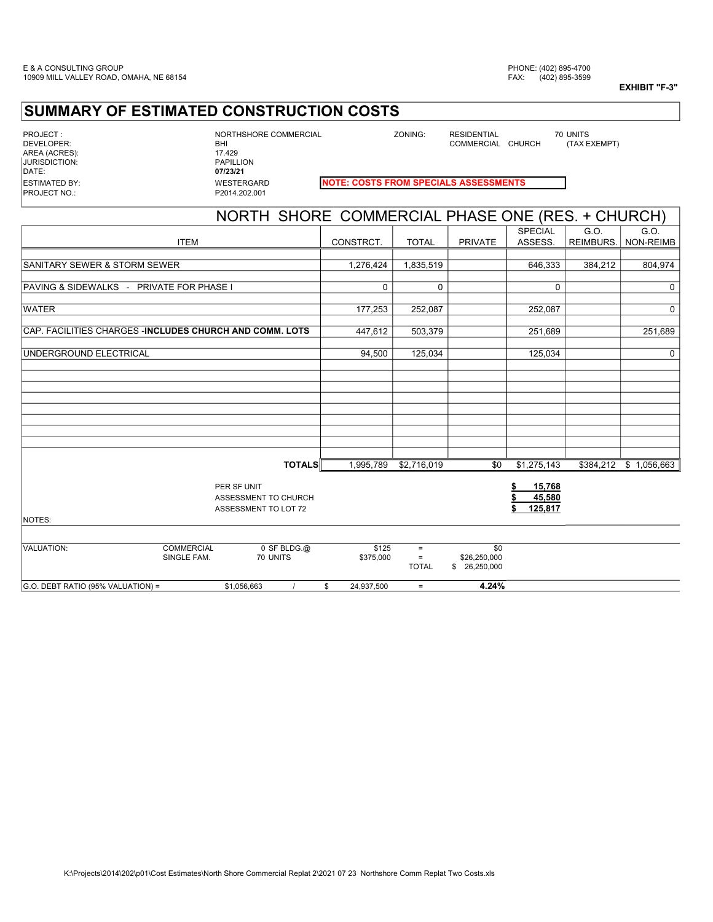## SUMMARY OF ESTIMATED CONSTRUCTION COSTS

| PROJECT:               |
|------------------------|
| DEVELOPER <sup>.</sup> |
| AREA (ACRES):          |
| <b>JURISDICTION:</b>   |
| DATF <sup>.</sup>      |
| <b>ESTIMATED BY:</b>   |
| <b>PROJECT NO.:</b>    |

PROJECT : NORTHSHORE COMMERCIAL ZONING: RESIDENTIAL 70 UNITS BHI<br>17.429 PAPILLION 07/23/21 P2014.202.001

COMMERCIAL CHURCH

#### WESTERGARD **NOTE: COSTS FROM SPECIALS ASSESSMENTS**

| NORTH SHORE COMMERCIAL PHASE ONE (RES. + CHURCH)                |                                                             |                    |                                      |                                     |                             |                   |                        |  |
|-----------------------------------------------------------------|-------------------------------------------------------------|--------------------|--------------------------------------|-------------------------------------|-----------------------------|-------------------|------------------------|--|
| <b>ITEM</b>                                                     |                                                             | CONSTRCT.          | <b>TOTAL</b>                         | <b>PRIVATE</b>                      | <b>SPECIAL</b><br>ASSESS.   | G.O.<br>REIMBURS. | G.O.<br>NON-REIMB      |  |
|                                                                 |                                                             |                    |                                      |                                     |                             |                   |                        |  |
| SANITARY SEWER & STORM SEWER                                    |                                                             | 1,276,424          | 1,835,519                            |                                     | 646,333                     | 384,212           | 804,974                |  |
| PAVING & SIDEWALKS - PRIVATE FOR PHASE I                        |                                                             | 0                  | $\mathbf 0$                          |                                     | $\mathbf 0$                 |                   | 0                      |  |
| <b>WATER</b>                                                    |                                                             | 177,253            | 252,087                              |                                     | 252,087                     |                   | $\mathbf 0$            |  |
| CAP. FACILITIES CHARGES - <b>INCLUDES CHURCH AND COMM. LOTS</b> |                                                             | 447,612            | 503,379                              |                                     | 251,689                     |                   | 251,689                |  |
| UNDERGROUND ELECTRICAL                                          |                                                             | 94,500             | 125,034                              |                                     | 125,034                     |                   | $\mathbf 0$            |  |
|                                                                 |                                                             |                    |                                      |                                     |                             |                   |                        |  |
|                                                                 |                                                             |                    |                                      |                                     |                             |                   |                        |  |
|                                                                 |                                                             |                    |                                      |                                     |                             |                   |                        |  |
|                                                                 |                                                             |                    |                                      |                                     |                             |                   |                        |  |
|                                                                 |                                                             |                    |                                      |                                     |                             |                   |                        |  |
|                                                                 | <b>TOTALS</b>                                               | 1,995,789          | \$2,716,019                          | \$0                                 | \$1,275,143                 |                   | \$384,212 \$ 1,056,663 |  |
|                                                                 | PER SF UNIT<br>ASSESSMENT TO CHURCH<br>ASSESSMENT TO LOT 72 |                    |                                      |                                     | 15,768<br>45,580<br>125,817 |                   |                        |  |
| <b>NOTES:</b>                                                   |                                                             |                    |                                      |                                     |                             |                   |                        |  |
|                                                                 |                                                             |                    |                                      |                                     |                             |                   |                        |  |
| VALUATION:<br><b>COMMERCIAL</b><br>SINGLE FAM.                  | $0$ SF BLDG. $@$<br>70 UNITS                                | \$125<br>\$375,000 | $\equiv$<br>$\equiv$<br><b>TOTAL</b> | \$0<br>\$26,250,000<br>\$26,250,000 |                             |                   |                        |  |
| G.O. DEBT RATIO (95% VALUATION) =                               | \$1,056,663                                                 | \$<br>24,937,500   | $=$                                  | 4.24%                               |                             |                   |                        |  |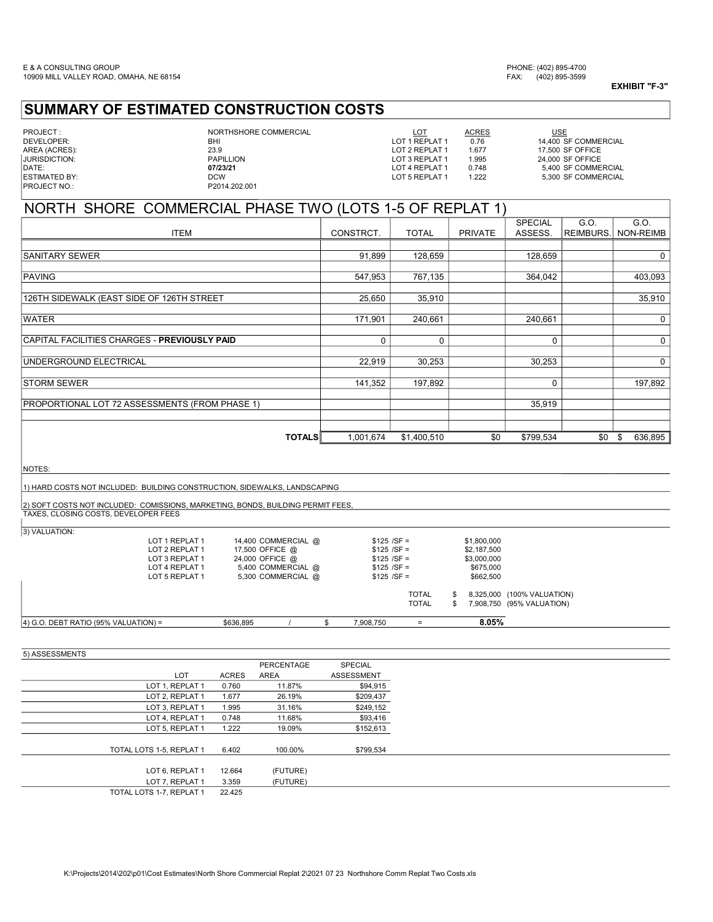## SUMMARY OF ESTIMATED CONSTRUCTION COSTS

| PROJECT:             |  |
|----------------------|--|
| DEVELOPER:           |  |
| AREA (ACRES):        |  |
| <b>JURISDICTION:</b> |  |
| DATF <sup>.</sup>    |  |
| <b>ESTIMATED BY:</b> |  |
| PROJECT NO.:         |  |

NORTHSHORE COMMERCIAL  $\underbrace{\text{LOT}}$ <br>BHI LOT 1 REPLAT 1 0.76 P2014.202.001

23.9 23.9 LOT 2 REPLAT 1 1.677 17,500 SF OFFICE<br>PAPILLION 1.995 24.000 SF OFFICE

DEVELOPER: BHI LOT 1 REPLAT 1 0.76 14,400 SF COMMERCIAL USE JURISDICTION: PAPILLION LOT 3 REPLAT 1 1.995 24,000 SF OFFICE<br>DATE: **07/23/21** LOT 4 REPLAT 1 0.748 5,400 SF COMMERCIAL External of the contract of the contract of the contract of the contract of the contract of the contract of the contract of the contract of the contract of the contract of the contract of the contract of the contract of th

# NORTH SHORE COMMERCIAL PHASE TWO (LOTS 1-5 OF REPLAT 1)

|                                                |           |              |                | <b>SPECIAL</b> | G.O.      | G.O.             |
|------------------------------------------------|-----------|--------------|----------------|----------------|-----------|------------------|
| <b>ITEM</b>                                    | CONSTRCT. | <b>TOTAL</b> | <b>PRIVATE</b> | ASSESS.        | REIMBURS. | <b>NON-REIMB</b> |
|                                                |           |              |                |                |           |                  |
| <b>ISANITARY SEWER</b>                         | 91,899    | 128,659      |                | 128,659        |           | $\mathbf 0$      |
|                                                |           |              |                |                |           |                  |
| PAVING                                         | 547,953   | 767,135      |                | 364,042        |           | 403,093          |
|                                                |           |              |                |                |           |                  |
| 126TH SIDEWALK (EAST SIDE OF 126TH STREET      | 25,650    | 35,910       |                |                |           | 35,910           |
|                                                |           |              |                |                |           |                  |
| <b>WATER</b>                                   | 171,901   | 240,661      |                | 240,661        |           | $\mathbf 0$      |
|                                                |           |              |                |                |           |                  |
| CAPITAL FACILITIES CHARGES - PREVIOUSLY PAID   | $\Omega$  | 0            |                | $\Omega$       |           | 0                |
| UNDERGROUND ELECTRICAL                         | 22,919    | 30,253       |                | 30,253         |           | 0                |
|                                                |           |              |                |                |           |                  |
| <b>ISTORM SEWER</b>                            | 141,352   | 197,892      |                | $\Omega$       |           | 197,892          |
|                                                |           |              |                |                |           |                  |
| PROPORTIONAL LOT 72 ASSESSMENTS (FROM PHASE 1) |           |              |                | 35,919         |           |                  |
|                                                |           |              |                |                |           |                  |
|                                                |           |              |                |                |           |                  |
| <b>TOTALS</b>                                  | 1,001,674 | \$1,400,510  | \$0            | \$799,534      | \$0       | 636,895<br>\$    |

NOTES:

1) HARD COSTS NOT INCLUDED: BUILDING CONSTRUCTION, SIDEWALKS, LANDSCAPING

2) SOFT COSTS NOT INCLUDED: COMISSIONS, MARKETING, BONDS, BUILDING PERMIT FEES, TAXES, CLOSING COSTS, DEVELOPER FEES

3) VALUAT

| 4) G.O. DEBT RATIO (95% VALUATION) = |                                  | \$636,895       |                     | 7,908,750                      | $=$                          | 8.05%                    |                                                         |  |
|--------------------------------------|----------------------------------|-----------------|---------------------|--------------------------------|------------------------------|--------------------------|---------------------------------------------------------|--|
|                                      |                                  |                 |                     |                                | <b>TOTAL</b><br><b>TOTAL</b> |                          | 8,325,000 (100% VALUATION)<br>7,908,750 (95% VALUATION) |  |
|                                      | LOT 5 REPLAT 1                   |                 | 5,300 COMMERCIAL @  | $$125 / SF =$                  |                              | \$662,500                |                                                         |  |
|                                      | LOT 3 REPLAT 1<br>LOT 4 REPLAT 1 | 24,000 OFFICE @ | 5,400 COMMERCIAL @  | $$125 / SF =$<br>$$125 / SF =$ |                              | \$3,000,000<br>\$675,000 |                                                         |  |
|                                      | LOT 2 REPLAT 1                   | 17,500 OFFICE @ |                     | $$125 / SF =$                  |                              | \$2,187,500              |                                                         |  |
| 3) VALUATION:                        | LOT 1 REPLAT 1                   |                 | 14,400 COMMERCIAL @ | $$125 / SF =$                  |                              | \$1,800,000              |                                                         |  |

| 5) ASSESSMENTS |                          |              |             |                   |
|----------------|--------------------------|--------------|-------------|-------------------|
|                |                          |              | PERCENTAGE  | SPECIAL           |
|                | <b>LOT</b>               | <b>ACRES</b> | <b>AREA</b> | <b>ASSESSMENT</b> |
|                | LOT 1, REPLAT 1          | 0.760        | 11.87%      | \$94,915          |
|                | LOT 2, REPLAT 1          | 1.677        | 26.19%      | \$209,437         |
|                | LOT 3, REPLAT 1          | 1.995        | 31.16%      | \$249,152         |
|                | LOT 4, REPLAT 1          | 0.748        | 11.68%      | \$93,416          |
|                | LOT 5, REPLAT 1          | 1.222        | 19.09%      | \$152,613         |
|                |                          |              |             |                   |
|                | TOTAL LOTS 1-5. REPLAT 1 | 6.402        | 100.00%     | \$799,534         |
|                |                          |              |             |                   |
|                | LOT 6, REPLAT 1          | 12.664       | (FUTURE)    |                   |
|                | LOT 7. REPLAT 1          | 3.359        | (FUTURE)    |                   |
|                | TOTAL LOTS 1-7, REPLAT 1 | 22.425       |             |                   |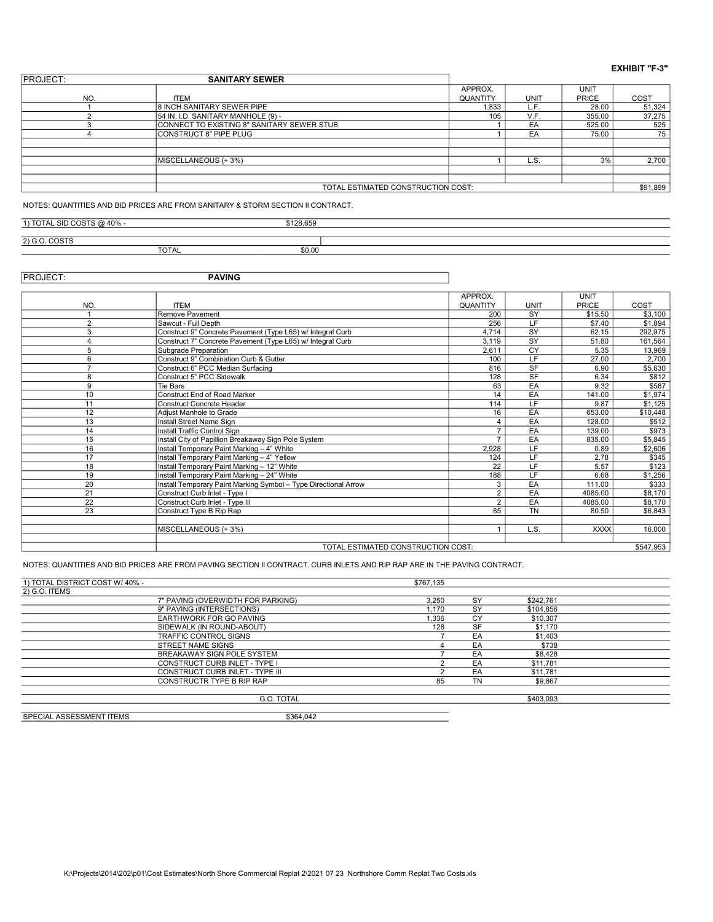| <b>IPROJECT:</b> | <b>SANITARY SEWER</b>                      |                 |      |              |          |  |
|------------------|--------------------------------------------|-----------------|------|--------------|----------|--|
|                  |                                            | APPROX.         |      | <b>UNIT</b>  |          |  |
| NO.              | <b>ITEM</b>                                | <b>QUANTITY</b> | UNIT | <b>PRICE</b> | COST     |  |
|                  | <b>8 INCH SANITARY SEWER PIPE</b>          | 1,833           | ∟.F⊥ | 28.00        | 51,324   |  |
|                  | 54 IN. I.D. SANITARY MANHOLE (9) -         | 105             | V.F. | 355.00       | 37,275   |  |
|                  | CONNECT TO EXISTING 8" SANITARY SEWER STUB |                 | EA   | 525.00       | 525      |  |
|                  | CONSTRUCT 8" PIPE PLUG                     |                 | EA   | 75.00        | 75       |  |
|                  |                                            |                 |      |              |          |  |
|                  |                                            |                 |      |              |          |  |
|                  | MISCELLANEOUS (+ 3%)                       |                 | L.S. | 3%           | 2,700    |  |
|                  |                                            |                 |      |              |          |  |
|                  |                                            |                 |      |              | \$91,899 |  |
|                  | TOTAL ESTIMATED CONSTRUCTION COST:         |                 |      |              |          |  |
|                  |                                            |                 |      |              |          |  |

NOTES: QUANTITIES AND BID PRICES ARE FROM SANITARY & STORM SECTION II CONTRACT.

| CID COOTS<br>1001<br>тc        |              | $0.400$ CEO<br>,,,,,,, |  |
|--------------------------------|--------------|------------------------|--|
|                                |              |                        |  |
| $\sim$ $\sim$ $\sim$<br>$\sim$ |              |                        |  |
|                                | <b>TOTAL</b> | \$0.00                 |  |

PROJECT: PAVING

|                 |                                                                 | APPROX.                                         |             | <b>UNIT</b> |          |  |  |  |  |  |
|-----------------|-----------------------------------------------------------------|-------------------------------------------------|-------------|-------------|----------|--|--|--|--|--|
| <b>NO</b>       | <b>ITEM</b>                                                     | QUANTITY                                        | <b>UNIT</b> | PRICE       | COST     |  |  |  |  |  |
|                 | Remove Pavement                                                 | 200                                             | <b>SY</b>   | \$15.50     | \$3,100  |  |  |  |  |  |
| $\overline{2}$  | Sawcut - Full Depth                                             | 256                                             | LF          | \$7.40      | \$1,894  |  |  |  |  |  |
| 3               | Construct 9" Concrete Pavement (Type L65) w/ Integral Curb      | 4,714                                           | SY          | 62.15       | 292,975  |  |  |  |  |  |
| $\overline{4}$  | Construct 7" Concrete Pavement (Type L65) w/ Integral Curb      | 3.119                                           | SY          | 51.80       | 161,564  |  |  |  |  |  |
| 5               | Subgrade Preparation                                            | 2.611                                           | CY          | 5.35        | 13,969   |  |  |  |  |  |
| 6               | Construct 9" Combination Curb & Gutter                          | 100                                             | LF.         | 27.00       | 2,700    |  |  |  |  |  |
| $\overline{ }$  | Construct 6" PCC Median Surfacing                               | 816                                             | SF          | 6.90        | \$5,630  |  |  |  |  |  |
| 8               | Construct 5" PCC Sidewalk                                       | 128                                             | SF          | 6.34        | \$812    |  |  |  |  |  |
| 9               | Tie Bars                                                        | 63                                              | EA          | 9.32        | \$587    |  |  |  |  |  |
| 10              | Construct End of Road Marker                                    | 14                                              | EA          | 141.00      | \$1,974  |  |  |  |  |  |
| 11              | Construct Concrete Header                                       | 114                                             | LF          | 9.87        | \$1,125  |  |  |  |  |  |
| 12              | Adiust Manhole to Grade                                         | 16                                              | EA          | 653.00      | \$10,448 |  |  |  |  |  |
| 13              | Install Street Name Sign                                        |                                                 | EA          | 128.00      | \$512    |  |  |  |  |  |
| 14              | Install Traffic Control Sign                                    |                                                 | EA          | 139.00      | \$973    |  |  |  |  |  |
| 15              | Install City of Papillion Breakaway Sign Pole System            |                                                 | EA          | 835.00      | \$5,845  |  |  |  |  |  |
| 16              | Install Temporary Paint Marking - 4" White                      | 2,928                                           | LF          | 0.89        | \$2,606  |  |  |  |  |  |
| 17              | Install Temporary Paint Marking - 4" Yellow                     | 124                                             | LF          | 2.78        | \$345    |  |  |  |  |  |
| 18              | Install Temporary Paint Marking - 12" White                     | 22                                              | LF          | 5.57        | \$123    |  |  |  |  |  |
| 19              | Install Temporary Paint Marking - 24" White                     | 188                                             | LF          | 6.68        | \$1,256  |  |  |  |  |  |
| 20              | Install Temporary Paint Marking Symbol - Type Directional Arrow | 3                                               | EA          | 111.00      | \$333    |  |  |  |  |  |
| 21              | Construct Curb Inlet - Type I                                   | $\overline{2}$                                  | EA          | 4085.00     | \$8,170  |  |  |  |  |  |
| $\overline{22}$ | Construct Curb Inlet - Type III                                 | $\overline{2}$                                  | EA          | 4085.00     | \$8,170  |  |  |  |  |  |
| 23              | Construct Type B Rip Rap                                        | 85                                              | <b>TN</b>   | 80.50       | \$6,843  |  |  |  |  |  |
|                 |                                                                 |                                                 |             |             |          |  |  |  |  |  |
|                 | MISCELLANEOUS (+3%)                                             |                                                 | L.S.        | <b>XXXX</b> | 16.000   |  |  |  |  |  |
|                 |                                                                 |                                                 |             |             |          |  |  |  |  |  |
|                 |                                                                 | TOTAL ESTIMATED CONSTRUCTION COST:<br>\$547,953 |             |             |          |  |  |  |  |  |

NOTES: QUANTITIES AND BID PRICES ARE FROM PAVING SECTION II CONTRACT. CURB INLETS AND RIP RAP ARE IN THE PAVING CONTRACT.

| 1) TOTAL DISTRICT COST W/40% -       | \$767.135 |           |           |  |
|--------------------------------------|-----------|-----------|-----------|--|
| 2) G.O. ITEMS                        |           |           |           |  |
| 7" PAVING (OVERWIDTH FOR PARKING)    | 3.250     | <b>SY</b> | \$242.761 |  |
| 9" PAVING (INTERSECTIONS)            | 1.170     | <b>SY</b> | \$104.856 |  |
| EARTHWORK FOR GO PAVING              | 1.336     | CY        | \$10,307  |  |
| SIDEWALK (IN ROUND-ABOUT)            | 128       | SF        | \$1,170   |  |
| <b>TRAFFIC CONTROL SIGNS</b>         |           | EA        | \$1,403   |  |
| STREET NAME SIGNS                    |           | EA        | \$738     |  |
| BREAKAWAY SIGN POLE SYSTEM           |           | EA        | \$8,428   |  |
| <b>CONSTRUCT CURB INLET - TYPE I</b> | ◠         | EA        | \$11,781  |  |
| CONSTRUCT CURB INLET - TYPE III      |           | EA        | \$11,781  |  |
| CONSTRUCTR TYPE B RIP RAP            | 85        | TN        | \$9.867   |  |
| G.O. TOTAL                           |           |           | \$403.093 |  |

SPECIAL ASSESSMENT ITEMS \$364,042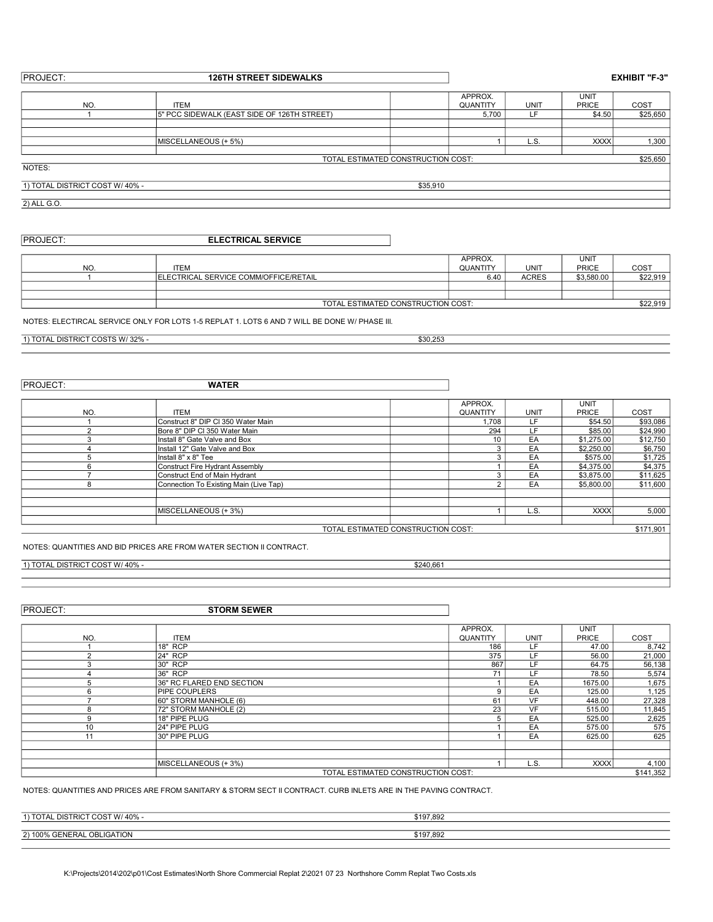| <b>PROJECT:</b>                | <b>126TH STREET SIDEWALKS</b>               |                                    |                            |      | <b>EXHIBIT "F-3"</b>        |          |
|--------------------------------|---------------------------------------------|------------------------------------|----------------------------|------|-----------------------------|----------|
| NO.                            | <b>ITEM</b>                                 |                                    | APPROX.<br><b>QUANTITY</b> | UNIT | <b>UNIT</b><br><b>PRICE</b> | COST     |
|                                | 5" PCC SIDEWALK (EAST SIDE OF 126TH STREET) |                                    | 5,700                      | LF   | \$4.50                      | \$25,650 |
|                                |                                             |                                    |                            |      |                             |          |
|                                | <b>IMISCELLANEOUS (+ 5%)</b>                |                                    |                            | L.S. | <b>XXXX</b>                 | 1,300    |
|                                |                                             | TOTAL ESTIMATED CONSTRUCTION COST: |                            |      |                             | \$25,650 |
| NOTES:                         |                                             |                                    |                            |      |                             |          |
| 1) TOTAL DISTRICT COST W/40% - |                                             | \$35,910                           |                            |      |                             |          |
| 2) ALL G.O.                    |                                             |                                    |                            |      |                             |          |

| <b>PROJECT:</b> | <b>ELECTRICAL SERVICE</b> |
|-----------------|---------------------------|
|                 |                           |

|                |                                                | APPROX.  |              | <b>UNIT</b>  |          |  |
|----------------|------------------------------------------------|----------|--------------|--------------|----------|--|
| N <sub>O</sub> | <b>ITEM</b>                                    | QUANTITY | UNIT         | <b>PRICE</b> | COS1     |  |
|                | <b>IELECTRICAL SERVICE COMM/OFFICE/RETAIL</b>  | 6.40     | <b>ACRES</b> | \$3,580.00   | \$22,919 |  |
|                |                                                |          |              |              |          |  |
|                |                                                |          |              |              |          |  |
|                | \$22.919<br>TOTAL ESTIMATED CONSTRUCTION COST: |          |              |              |          |  |

NOTES: ELECTIRCAL SERVICE ONLY FOR LOTS 1-5 REPLAT 1. LOTS 6 AND 7 WILL BE DONE W/ PHASE III.

 $\frac{1}{1}$  TOTAL DISTRICT COSTS W/32% - \$30,253

| <b>PROJECT:</b> | <b>WATER</b>                           |                                    |                 |             |              |           |
|-----------------|----------------------------------------|------------------------------------|-----------------|-------------|--------------|-----------|
|                 |                                        |                                    | APPROX.         |             | <b>UNIT</b>  |           |
| NO.             | <b>ITEM</b>                            |                                    | <b>QUANTITY</b> | <b>UNIT</b> | <b>PRICE</b> | COST      |
|                 | Construct 8" DIP CI 350 Water Main     |                                    | .708            | LF          | \$54.50      | \$93,086  |
| $\sqrt{2}$      | Bore 8" DIP CI 350 Water Main          |                                    | 294             | LF          | \$85.00      | \$24,990  |
|                 | Install 8" Gate Valve and Box          |                                    | 10              | EA          | \$1,275.00   | \$12,750  |
|                 | Install 12" Gate Valve and Box         |                                    |                 | EA          | \$2,250.00   | \$6,750   |
|                 | Install 8" x 8" Tee                    |                                    |                 | EA          | \$575,00     | \$1,725   |
|                 | <b>Construct Fire Hydrant Assembly</b> |                                    |                 | EA          | \$4,375.00   | \$4,375   |
|                 | Construct End of Main Hydrant          |                                    |                 | EA          | \$3,875.00   | \$11,625  |
| ៱               | Connection To Existing Main (Live Tap) |                                    |                 | EA          | \$5,800.00   | \$11,600  |
|                 |                                        |                                    |                 |             |              |           |
|                 |                                        |                                    |                 |             |              |           |
|                 | MISCELLANEOUS (+ 3%)                   |                                    |                 | L.S.        | <b>XXXX</b>  | 5,000     |
|                 |                                        |                                    |                 |             |              |           |
|                 |                                        | TOTAL ESTIMATED CONSTRUCTION COST: |                 |             |              | \$171,901 |

NOTES: QUANTITIES AND BID PRICES ARE FROM WATER SECTION II CONTRACT.

### 1) TOTAL DISTRICT COST W/ 40% - \$240,661

PROJECT: STORM SEWER

|                |                                    | APPROX.         |             | <b>UNIT</b>  |           |
|----------------|------------------------------------|-----------------|-------------|--------------|-----------|
| N <sub>O</sub> | <b>ITEM</b>                        | <b>QUANTITY</b> | <b>UNIT</b> | <b>PRICE</b> | COST      |
|                | 18" RCP                            | 186             | LF          | 47.00        | 8,742     |
|                | 24" RCP                            | 375             | LF          | 56.00        | 21,000    |
|                | 30" RCP                            | 867             | LF          | 64.75        | 56,138    |
|                | 36" RCP                            | 71              | LF          | 78.50        | 5,574     |
|                | <b>36" RC FLARED END SECTION</b>   |                 | EA          | 1675.00      | 1,675     |
| 6              | <b>PIPE COUPLERS</b>               | 9               | EA          | 125.00       | 1,125     |
|                | 60" STORM MANHOLE (6)              | 61              | VF          | 448.00       | 27,328    |
| 8              | 72" STORM MANHOLE (2)              | 23              | VF          | 515.00       | 11,845    |
|                | 18" PIPE PLUG                      | 5               | EA          | 525.00       | 2,625     |
| 10             | 24" PIPE PLUG                      |                 | EA          | 575.00       | 575       |
| 11             | 30" PIPE PLUG                      |                 | EA          | 625.00       | 625       |
|                |                                    |                 |             |              |           |
|                |                                    |                 |             |              |           |
|                | MISCELLANEOUS (+ 3%)               |                 | L.S.        | <b>XXXX</b>  | 4,100     |
|                | TOTAL ESTIMATED CONSTRUCTION COST: |                 |             |              | \$141,352 |

NOTES: QUANTITIES AND PRICES ARE FROM SANITARY & STORM SECT II CONTRACT. CURB INLETS ARE IN THE PAVING CONTRACT.

| W/40%-<br>…⊾ UISTRICT COOT<br>$'$ TOTAL       | \$197.892 |
|-----------------------------------------------|-----------|
|                                               |           |
| LIGATION<br><b>GENERAL</b><br>OBL.<br>2) 100% | \$197.892 |
|                                               |           |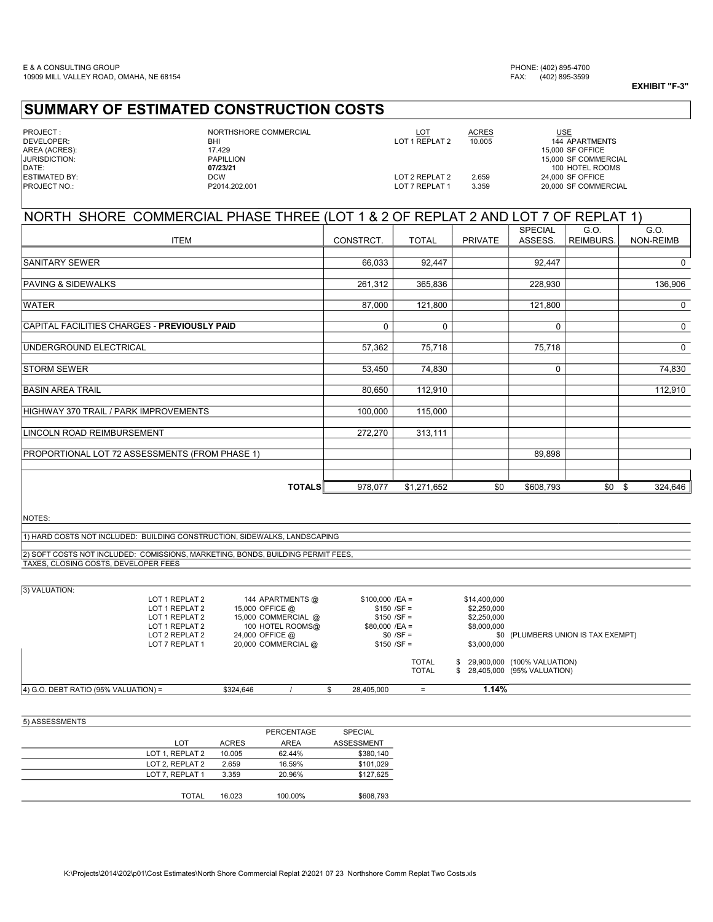## SUMMARY OF ESTIMATED CONSTRUCTION COSTS

# PROJECT : NORTHSHORE COMMERCIAL LOT ACRES DEVELOPER: **BHI LOT 1 REPLAT 2**<br>
AREA (ACRES): **BHI 144 APARTMENTS**<br>
JURISDICTION: **PAPILLION**<br>
PAPILLION **PAPILLION**<br>
20123/21<br>
DATE: 100 HOTEL ROOM: 15,000 SF COMMERC<br>
DATE: 100 HOTEL ROOM:

AREA (ACRES): 17.429 15,000 SF OFFICE JURISDICTION: PAPILLION 15,000 SF COMMERCIAL DATE: 07/23/21 100 HOTEL ROOMS ESTIMATED BY: DCW LOT 2 REPLAT 2 2.659 24,000 SF OFFICE PROJECT NO.: P2014.202.001 LOT 7 REPLAT 1 3.359 20,000 SF COMMERCIAL USE

| NORTH SHORE COMMERCIAL PHASE THREE (LOT 1 & 2 OF REPLAT 2 AND LOT 7 OF REPLAT 1) |           |              |                |                |                  |             |  |
|----------------------------------------------------------------------------------|-----------|--------------|----------------|----------------|------------------|-------------|--|
|                                                                                  |           |              |                | <b>SPECIAL</b> | G.O.             | G.O.        |  |
| <b>ITEM</b>                                                                      | CONSTRCT. | <b>TOTAL</b> | <b>PRIVATE</b> | ASSESS.        | <b>REIMBURS.</b> | NON-REIMB   |  |
|                                                                                  |           |              |                |                |                  |             |  |
| <b>SANITARY SEWER</b>                                                            | 66,033    | 92,447       |                | 92,447         |                  | 0           |  |
|                                                                                  |           |              |                |                |                  |             |  |
| <b>PAVING &amp; SIDEWALKS</b>                                                    | 261,312   | 365,836      |                | 228,930        |                  | 136,906     |  |
|                                                                                  |           |              |                |                |                  |             |  |
| <b>WATER</b>                                                                     | 87,000    | 121,800      |                | 121,800        |                  | 0           |  |
|                                                                                  |           |              |                |                |                  |             |  |
| CAPITAL FACILITIES CHARGES - PREVIOUSLY PAID                                     | 0         | 0            |                | 0              |                  | $\mathbf 0$ |  |
|                                                                                  |           |              |                |                |                  |             |  |
| UNDERGROUND ELECTRICAL                                                           | 57,362    | 75,718       |                | 75,718         |                  | 0           |  |
| <b>STORM SEWER</b>                                                               | 53,450    | 74,830       |                | 0              |                  | 74,830      |  |
|                                                                                  |           |              |                |                |                  |             |  |
| <b>BASIN AREA TRAIL</b>                                                          | 80,650    | 112,910      |                |                |                  | 112,910     |  |
|                                                                                  |           |              |                |                |                  |             |  |
| HIGHWAY 370 TRAIL / PARK IMPROVEMENTS                                            | 100,000   | 115,000      |                |                |                  |             |  |
|                                                                                  |           |              |                |                |                  |             |  |
| LINCOLN ROAD REIMBURSEMENT                                                       | 272,270   | 313,111      |                |                |                  |             |  |
|                                                                                  |           |              |                |                |                  |             |  |
| PROPORTIONAL LOT 72 ASSESSMENTS (FROM PHASE 1)                                   |           |              |                | 89,898         |                  |             |  |
|                                                                                  |           |              |                |                |                  |             |  |
|                                                                                  |           |              |                |                |                  |             |  |
| <b>TOTALS</b>                                                                    | 978,077   | \$1,271,652  | \$0            | \$608,793      | $$0 \quad $$     | 324,646     |  |

NOTES:

1) HARD COSTS NOT INCLUDED: BUILDING CONSTRUCTION, SIDEWALKS, LANDSCAPING

2) SOFT COSTS NOT INCLUDED: COMISSIONS, MARKETING, BONDS, BUILDING PERMIT FEES, TAXES, CLOSING COSTS, DEVELOPER FEES

| 3) VALUATION: |
|---------------|

| $(4)$ G.O. DEBT RATIO (95% VALUATION) = |                | \$324,646       |                     | 28,405,000       | $=$          | 1.14%        |                                    |
|-----------------------------------------|----------------|-----------------|---------------------|------------------|--------------|--------------|------------------------------------|
|                                         |                |                 |                     |                  | <b>TOTAL</b> |              | \$ 28,405,000 (95% VALUATION)      |
|                                         |                |                 |                     |                  | <b>TOTAL</b> |              | \$ 29,900,000 (100% VALUATION)     |
|                                         | LOT 7 REPLAT 1 |                 | 20,000 COMMERCIAL @ | $$150 / SF =$    |              | \$3,000,000  |                                    |
|                                         | LOT 2 REPLAT 2 | 24,000 OFFICE @ |                     | $$0/SF =$        |              |              | \$0 (PLUMBERS UNION IS TAX EXEMPT) |
|                                         | LOT 1 REPLAT 2 |                 | 100 HOTEL ROOMS@    | $$80,000$ /EA =  |              | \$8,000,000  |                                    |
|                                         | LOT 1 REPLAT 2 |                 | 15,000 COMMERCIAL @ | $$150 / SF =$    |              | \$2,250,000  |                                    |
|                                         | LOT 1 REPLAT 2 | 15,000 OFFICE @ |                     | $$150 / SF =$    |              | \$2,250,000  |                                    |
|                                         | LOT 1 REPLAT 2 |                 | 144 APARTMENTS @    | $$100,000$ /EA = |              | \$14,400,000 |                                    |

#### 5) ASSESSMENTS

|                 |              | PERCENTAGE  | SPECIAL           |
|-----------------|--------------|-------------|-------------------|
| <b>LOT</b>      | <b>ACRES</b> | <b>AREA</b> | <b>ASSESSMENT</b> |
| LOT 1, REPLAT 2 | 10.005       | 62.44%      | \$380,140         |
| LOT 2, REPLAT 2 | 2.659        | 16.59%      | \$101,029         |
| LOT 7, REPLAT 1 | 3.359        | 20.96%      | \$127,625         |
|                 |              |             |                   |
| <b>TOTAL</b>    | 16.023       | 100.00%     | \$608,793         |
|                 |              |             |                   |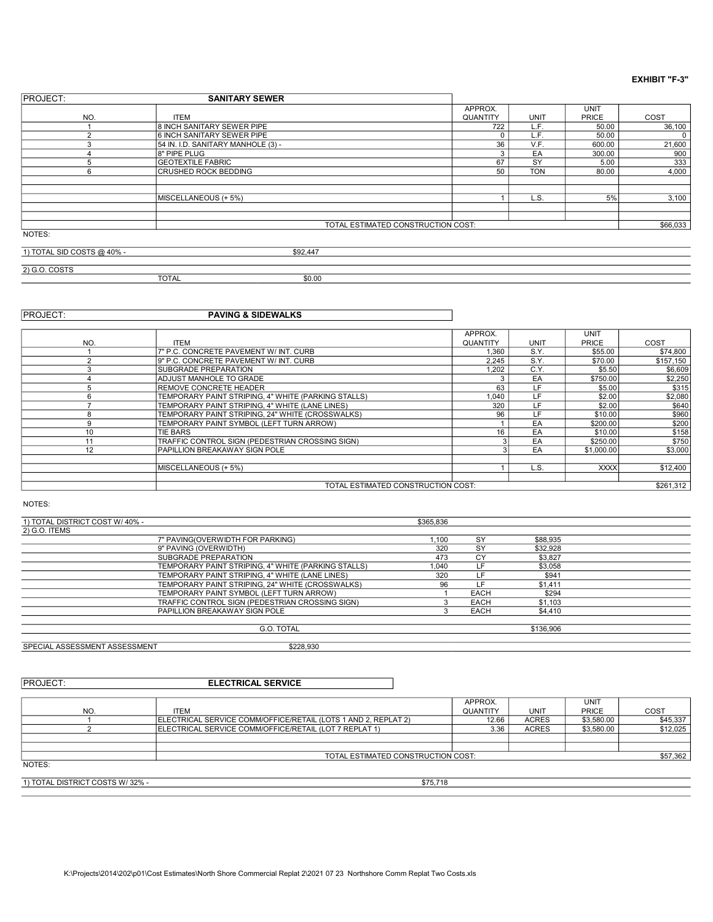| <b>PROJECT:</b>                    |                                    |          |             |              |        |
|------------------------------------|------------------------------------|----------|-------------|--------------|--------|
|                                    |                                    | APPROX.  |             | <b>UNIT</b>  |        |
| NO.                                | <b>ITEM</b>                        | QUANTITY | <b>UNIT</b> | <b>PRICE</b> | COST   |
|                                    | 8 INCH SANITARY SEWER PIPE         | 722      | L.F.        | 50.00        | 36,100 |
| C                                  | 6 INCH SANITARY SEWER PIPE         |          | L.F.        | 50.00        | 0      |
| $\sim$<br>3                        | 54 IN. I.D. SANITARY MANHOLE (3) - | 36       | V.F.        | 600.00       | 21,600 |
|                                    | 8" PIPE PLUG                       |          | EA          | 300.00       | 900    |
| 5                                  | <b>GEOTEXTILE FABRIC</b>           | 67       | SY          | 5.00         | 333    |
| 6                                  | <b>CRUSHED ROCK BEDDING</b>        | 50       | <b>TON</b>  | 80.00        | 4,000  |
|                                    |                                    |          |             |              |        |
|                                    |                                    |          |             |              |        |
|                                    | MISCELLANEOUS (+ 5%)               |          | L.S.        | 5%           | 3,100  |
|                                    |                                    |          |             |              |        |
|                                    |                                    |          |             |              |        |
| TOTAL ESTIMATED CONSTRUCTION COST: |                                    |          |             |              |        |
| NOTES:                             |                                    |          |             |              |        |
| 1) TOTAL SID COSTS @ 40% -         | \$92,447                           |          |             |              |        |

2) G.O. COSTS

TOTAL \$0.00

### **PROJECT:** PAVING & SIDEWALKS

|     |                                                     | APPROX.         |             | <b>UNIT</b>  |           |
|-----|-----------------------------------------------------|-----------------|-------------|--------------|-----------|
| NO. | <b>ITEM</b>                                         | <b>QUANTITY</b> | <b>UNIT</b> | <b>PRICE</b> | COST      |
|     | 7" P.C. CONCRETE PAVEMENT W/ INT. CURB              | 1,360           | S.Y.        | \$55.00      | \$74,800  |
| C   | 9" P.C. CONCRETE PAVEMENT W/INT. CURB               | 2.245           | S.Y.        | \$70.00      | \$157.150 |
|     | <b>ISUBGRADE PREPARATION</b>                        | 1.202           | C.Y.        | \$5.50       | \$6,609   |
|     | <b>ADJUST MANHOLE TO GRADE</b>                      |                 | EA          | \$750.00     | \$2,250   |
| 5   | <b>REMOVE CONCRETE HEADER</b>                       | 63              | LF.         | \$5.00       | \$315     |
| 6   | TEMPORARY PAINT STRIPING. 4" WHITE (PARKING STALLS) | 1.040           | LF          | \$2.00       | \$2,080   |
|     | TEMPORARY PAINT STRIPING, 4" WHITE (LANE LINES)     | 320             | LF.         | \$2.00       | \$640     |
| 8   | TEMPORARY PAINT STRIPING, 24" WHITE (CROSSWALKS)    | 96              | LF.         | \$10.00      | \$960     |
| 9   | TEMPORARY PAINT SYMBOL (LEFT TURN ARROW)            |                 | EA          | \$200.00     | \$200     |
| 10  | <b>TIE BARS</b>                                     | 16              | EA          | \$10.00      | \$158     |
| 11  | TRAFFIC CONTROL SIGN (PEDESTRIAN CROSSING SIGN)     |                 | EA          | \$250.00     | \$750     |
| 12  | PAPILLION BREAKAWAY SIGN POLE                       |                 | EA          | \$1,000.00   | \$3,000   |
|     |                                                     |                 |             |              |           |
|     | MISCELLANEOUS (+ 5%)                                |                 | L.S.        | <b>XXXX</b>  | \$12,400  |
|     |                                                     |                 |             |              |           |
|     | TOTAL ESTIMATED CONSTRUCTION COST:                  |                 |             |              | \$261.312 |

NOTES:

| 1) TOTAL DISTRICT COST W/40% - |                                                     | \$365,836 |             |          |  |
|--------------------------------|-----------------------------------------------------|-----------|-------------|----------|--|
| 2) G.O. ITEMS                  |                                                     |           |             |          |  |
|                                | 7" PAVING(OVERWIDTH FOR PARKING)                    | 1.100     | <b>SY</b>   | \$88,935 |  |
|                                | 9" PAVING (OVERWIDTH)                               | 320       | <b>SY</b>   | \$32,928 |  |
|                                | SUBGRADE PREPARATION                                | 473       | СY          | \$3.827  |  |
|                                | TEMPORARY PAINT STRIPING, 4" WHITE (PARKING STALLS) | 1.040     |             | \$3.058  |  |
|                                | TEMPORARY PAINT STRIPING, 4" WHITE (LANE LINES)     | 320       |             | \$941    |  |
|                                | TEMPORARY PAINT STRIPING, 24" WHITE (CROSSWALKS)    | 96        | l F         | \$1.411  |  |
|                                | TEMPORARY PAINT SYMBOL (LEFT TURN ARROW)            |           | EACH        | \$294    |  |
|                                | TRAFFIC CONTROL SIGN (PEDESTRIAN CROSSING SIGN)     |           | <b>EACH</b> | \$1,103  |  |
|                                | PAPILLION BREAKAWAY SIGN POLE                       |           | <b>EACH</b> | \$4,410  |  |
|                                |                                                     |           |             |          |  |

G.O. TOTAL \$136,906 SPECIAL ASSESSMENT ASSESSMENT **\$228,930** 

PROJECT: ELECTRICAL SERVICE

|                                 |                                                                | APPROX.         |              | UNIT         |          |
|---------------------------------|----------------------------------------------------------------|-----------------|--------------|--------------|----------|
| NO.                             | <b>ITEM</b>                                                    | <b>QUANTITY</b> | UNIT         | <b>PRICE</b> | COST     |
|                                 | ELECTRICAL SERVICE COMM/OFFICE/RETAIL (LOTS 1 AND 2, REPLAT 2) | 12.66           | <b>ACRES</b> | \$3,580.00   | \$45,337 |
|                                 | ELECTRICAL SERVICE COMM/OFFICE/RETAIL (LOT 7 REPLAT 1)         | 3.36            | <b>ACRES</b> | \$3,580.00   | \$12,025 |
|                                 |                                                                |                 |              |              |          |
|                                 |                                                                |                 |              |              |          |
|                                 | TOTAL ESTIMATED CONSTRUCTION COST:                             |                 |              |              | \$57,362 |
| NOTES:                          |                                                                |                 |              |              |          |
|                                 |                                                                |                 |              |              |          |
| 1) TOTAL DISTRICT COSTS W/32% - | \$75,718                                                       |                 |              |              |          |